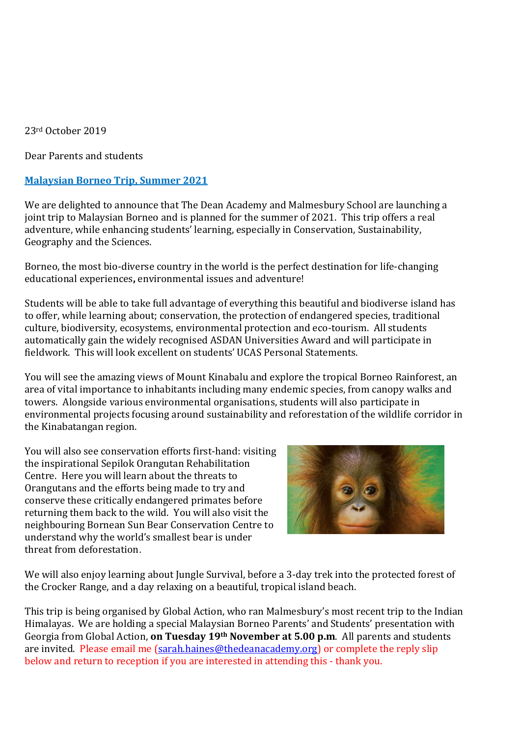23rd October 2019

Dear Parents and students

## **Malaysian Borneo Trip, Summer 2021**

We are delighted to announce that The Dean Academy and Malmesbury School are launching a joint trip to Malaysian Borneo and is planned for the summer of 2021. This trip offers a real adventure, while enhancing students' learning, especially in Conservation, Sustainability, Geography and the Sciences.

Borneo, the most bio-diverse country in the world is the perfect destination for life-changing educational experiences**,** environmental issues and adventure!

Students will be able to take full advantage of everything this beautiful and biodiverse island has to offer, while learning about; conservation, the protection of endangered species, traditional culture, biodiversity, ecosystems, environmental protection and eco-tourism. All students automatically gain the widely recognised ASDAN Universities Award and will participate in fieldwork. This will look excellent on students' UCAS Personal Statements.

You will see the amazing views of Mount Kinabalu and explore the tropical Borneo Rainforest, an area of vital importance to inhabitants including many endemic species, from canopy walks and towers. Alongside various environmental organisations, students will also participate in environmental projects focusing around sustainability and reforestation of the wildlife corridor in the Kinabatangan region.

You will also see conservation efforts first-hand: visiting the inspirational Sepilok Orangutan Rehabilitation Centre. Here you will learn about the threats to Orangutans and the efforts being made to try and conserve these critically endangered primates before returning them back to the wild. You will also visit the neighbouring Bornean Sun Bear Conservation Centre to understand why the world's smallest bear is under threat from deforestation.



We will also enjoy learning about Jungle Survival, before a 3-day trek into the protected forest of the Crocker Range, and a day relaxing on a beautiful, tropical island beach.

This trip is being organised by Global Action, who ran Malmesbury's most recent trip to the Indian Himalayas. We are holding a special Malaysian Borneo Parents' and Students' presentation with Georgia from Global Action, **on Tuesday 19th November at 5.00 p.m**. All parents and students are invited. Please email me [\(sarah.haines@thedeanacademy.org\)](mailto:sarah.haines@thedeanacademy.org) or complete the reply slip below and return to reception if you are interested in attending this - thank you.